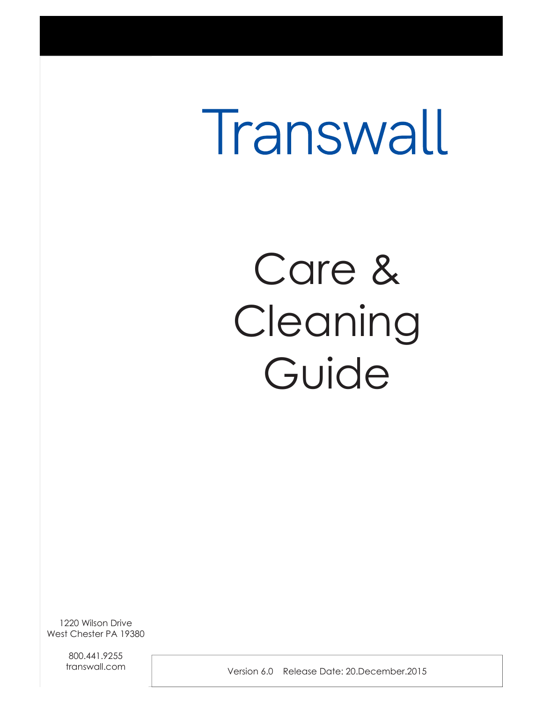# Transwall

## Care & Cleaning Guide

1220 Wilson Drive West Chester PA 19380

> 800.441.9255 transwall.com

Version 6.0 Release Date: 20.December.2015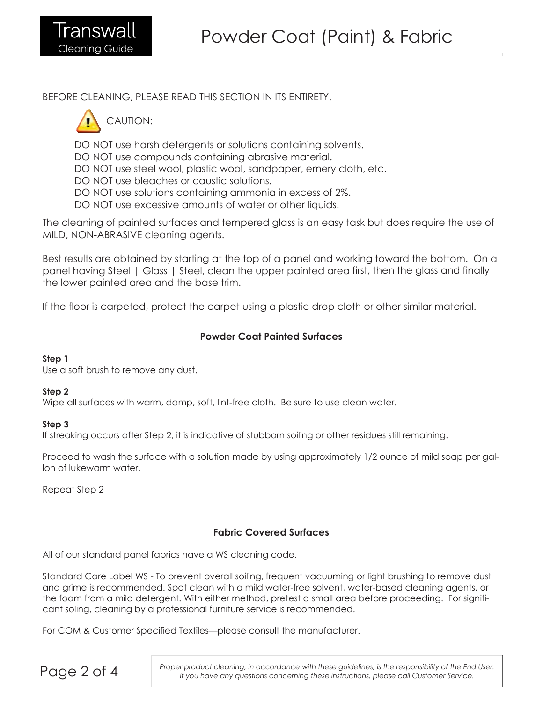BEFORE CLEANING, PLEASE READ THIS SECTION IN ITS ENTIRETY.



DO NOT use harsh detergents or solutions containing solvents.

DO NOT use compounds containing abrasive material.

DO NOT use steel wool, plastic wool, sandpaper, emery cloth, etc.

DO NOT use bleaches or caustic solutions.

DO NOT use solutions containing ammonia in excess of 2%.

DO NOT use excessive amounts of water or other liquids.

The cleaning of painted surfaces and tempered glass is an easy task but does require the use of MILD, NON-ABRASIVE cleaning agents.

Best results are obtained by starting at the top of a panel and working toward the bottom. On a panel having Steel | Glass | Steel, clean the upper painted area first, then the glass and finally the lower painted area and the base trim.

If the floor is carpeted, protect the carpet using a plastic drop cloth or other similar material.

## **Powder Coat Painted Surfaces**

## **Step 1**

Use a soft brush to remove any dust.

## **Step 2**

Wipe all surfaces with warm, damp, soft, lint-free cloth. Be sure to use clean water.

## **Step 3**

If streaking occurs after Step 2, it is indicative of stubborn soiling or other residues still remaining.

Proceed to wash the surface with a solution made by using approximately 1/2 ounce of mild soap per gallon of lukewarm water.

Repeat Step 2

## **Fabric Covered Surfaces**

All of our standard panel fabrics have a WS cleaning code.

Standard Care Label WS - To prevent overall soiling, frequent vacuuming or light brushing to remove dust and grime is recommended. Spot clean with a mild water-free solvent, water-based cleaning agents, or the foam from a mild detergent. With either method, pretest a small area before proceeding. For significant soling, cleaning by a professional furniture service is recommended.

For COM & Customer Specified Textiles—please consult the manufacturer.

**Page 2 of 4** *Proper product cleaning, in* accordance with these guidelines, is the responsibility of the End User.<br>
If you have any auestions concerning these instructions, please call Customer Service. *If you have any questions concerning these instructions, please call Customer Service.*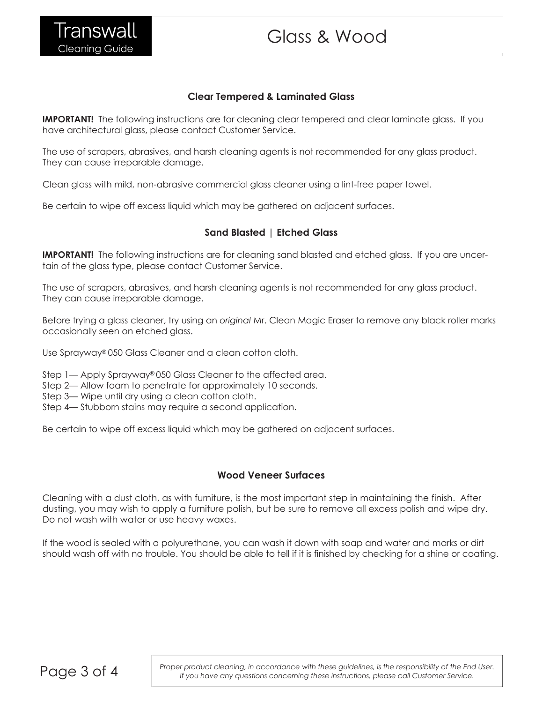## **Clear Tempered & Laminated Glass**

**IMPORTANT!** The following instructions are for cleaning clear tempered and clear laminate glass. If you have architectural glass, please contact Customer Service.

The use of scrapers, abrasives, and harsh cleaning agents is not recommended for any glass product. They can cause irreparable damage.

Clean glass with mild, non-abrasive commercial glass cleaner using a lint-free paper towel.

Be certain to wipe off excess liquid which may be gathered on adjacent surfaces.

## **Sand Blasted | Etched Glass**

**IMPORTANT!** The following instructions are for cleaning sand blasted and etched glass. If you are uncertain of the glass type, please contact Customer Service.

The use of scrapers, abrasives, and harsh cleaning agents is not recommended for any glass product. They can cause irreparable damage.

Before trying a glass cleaner, try using an *original* Mr. Clean Magic Eraser to remove any black roller marks occasionally seen on etched glass.

Use Sprayway® 050 Glass Cleaner and a clean cotton cloth.

Step 1— Apply Sprayway® 050 Glass Cleaner to the affected area.

Step 2— Allow foam to penetrate for approximately 10 seconds.

Step 3— Wipe until dry using a clean cotton cloth.

Step 4— Stubborn stains may require a second application.

Be certain to wipe off excess liquid which may be gathered on adjacent surfaces.

## **Wood Veneer Surfaces**

Cleaning with a dust cloth, as with furniture, is the most important step in maintaining the finish. After dusting, you may wish to apply a furniture polish, but be sure to remove all excess polish and wipe dry. Do not wash with water or use heavy waxes.

If the wood is sealed with a polyurethane, you can wash it down with soap and water and marks or dirt should wash off with no trouble. You should be able to tell if it is finished by checking for a shine or coating.